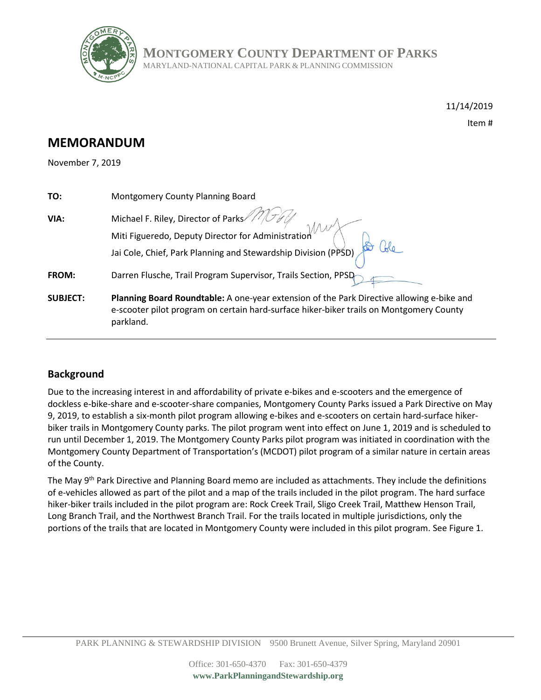

**MONTGOMERY COUNTY DEPARTMENT OF PARKS**

MARYLAND-NATIONAL CAPITAL PARK & PLANNING COMMISSION

11/14/2019

Item #

# **MEMORANDUM**

November 7, 2019

| TO:             | Montgomery County Planning Board                                                                                                                                                                  |
|-----------------|---------------------------------------------------------------------------------------------------------------------------------------------------------------------------------------------------|
| VIA:            | Michael F. Riley, Director of Parks<br>Miti Figueredo, Deputy Director for Administration<br>Jai Cole, Chief, Park Planning and Stewardship Division (PPSD)                                       |
|                 |                                                                                                                                                                                                   |
|                 |                                                                                                                                                                                                   |
| FROM:           | Darren Flusche, Trail Program Supervisor, Trails Section, PPSD                                                                                                                                    |
| <b>SUBJECT:</b> | Planning Board Roundtable: A one-year extension of the Park Directive allowing e-bike and<br>e-scooter pilot program on certain hard-surface hiker-biker trails on Montgomery County<br>parkland. |

# **Background**

Due to the increasing interest in and affordability of private e-bikes and e-scooters and the emergence of dockless e-bike-share and e-scooter-share companies, Montgomery County Parks issued a Park Directive on May 9, 2019, to establish a six-month pilot program allowing e-bikes and e-scooters on certain hard-surface hikerbiker trails in Montgomery County parks. The pilot program went into effect on June 1, 2019 and is scheduled to run until December 1, 2019. The Montgomery County Parks pilot program was initiated in coordination with the Montgomery County Department of Transportation's (MCDOT) pilot program of a similar nature in certain areas of the County.

The May 9<sup>th</sup> Park Directive and Planning Board memo are included as attachments. They include the definitions of e-vehicles allowed as part of the pilot and a map of the trails included in the pilot program. The hard surface hiker-biker trails included in the pilot program are: Rock Creek Trail, Sligo Creek Trail, Matthew Henson Trail, Long Branch Trail, and the Northwest Branch Trail. For the trails located in multiple jurisdictions, only the portions of the trails that are located in Montgomery County were included in this pilot program. See Figure 1.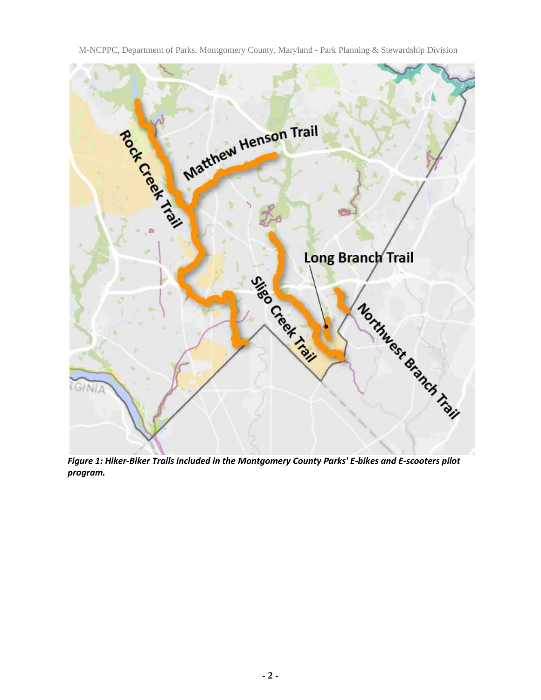Matthew Henson Trail ROCK Creek Trail Long Branch Trail Sailey Creek Creek Northwest Branch Trail GINIA

M-NCPPC, Department of Parks, Montgomery County, Maryland - Park Planning & Stewardship Division

*Figure 1: Hiker-Biker Trails included in the Montgomery County Parks' E-bikes and E-scooters pilot program.*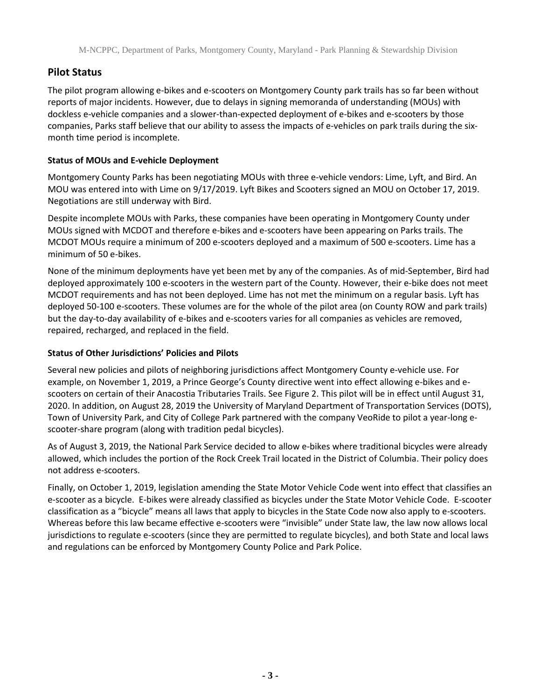## **Pilot Status**

The pilot program allowing e-bikes and e-scooters on Montgomery County park trails has so far been without reports of major incidents. However, due to delays in signing memoranda of understanding (MOUs) with dockless e-vehicle companies and a slower-than-expected deployment of e-bikes and e-scooters by those companies, Parks staff believe that our ability to assess the impacts of e-vehicles on park trails during the sixmonth time period is incomplete.

#### **Status of MOUs and E-vehicle Deployment**

Montgomery County Parks has been negotiating MOUs with three e-vehicle vendors: Lime, Lyft, and Bird. An MOU was entered into with Lime on 9/17/2019. Lyft Bikes and Scooters signed an MOU on October 17, 2019. Negotiations are still underway with Bird.

Despite incomplete MOUs with Parks, these companies have been operating in Montgomery County under MOUs signed with MCDOT and therefore e-bikes and e-scooters have been appearing on Parks trails. The MCDOT MOUs require a minimum of 200 e-scooters deployed and a maximum of 500 e-scooters. Lime has a minimum of 50 e-bikes.

None of the minimum deployments have yet been met by any of the companies. As of mid-September, Bird had deployed approximately 100 e-scooters in the western part of the County. However, their e-bike does not meet MCDOT requirements and has not been deployed. Lime has not met the minimum on a regular basis. Lyft has deployed 50-100 e-scooters. These volumes are for the whole of the pilot area (on County ROW and park trails) but the day-to-day availability of e-bikes and e-scooters varies for all companies as vehicles are removed, repaired, recharged, and replaced in the field.

#### **Status of Other Jurisdictions' Policies and Pilots**

Several new policies and pilots of neighboring jurisdictions affect Montgomery County e-vehicle use. For example, on November 1, 2019, a Prince George's County directive went into effect allowing e-bikes and escooters on certain of their Anacostia Tributaries Trails. See Figure 2. This pilot will be in effect until August 31, 2020. In addition, on August 28, 2019 the University of Maryland Department of Transportation Services (DOTS), Town of University Park, and City of College Park partnered with the company VeoRide to pilot a year-long escooter-share program (along with tradition pedal bicycles).

As of August 3, 2019, the National Park Service decided to allow e-bikes where traditional bicycles were already allowed, which includes the portion of the Rock Creek Trail located in the District of Columbia. Their policy does not address e-scooters.

Finally, on October 1, 2019, legislation amending the State Motor Vehicle Code went into effect that classifies an e-scooter as a bicycle. E-bikes were already classified as bicycles under the State Motor Vehicle Code. E-scooter classification as a "bicycle" means all laws that apply to bicycles in the State Code now also apply to e-scooters. Whereas before this law became effective e-scooters were "invisible" under State law, the law now allows local jurisdictions to regulate e-scooters (since they are permitted to regulate bicycles), and both State and local laws and regulations can be enforced by Montgomery County Police and Park Police.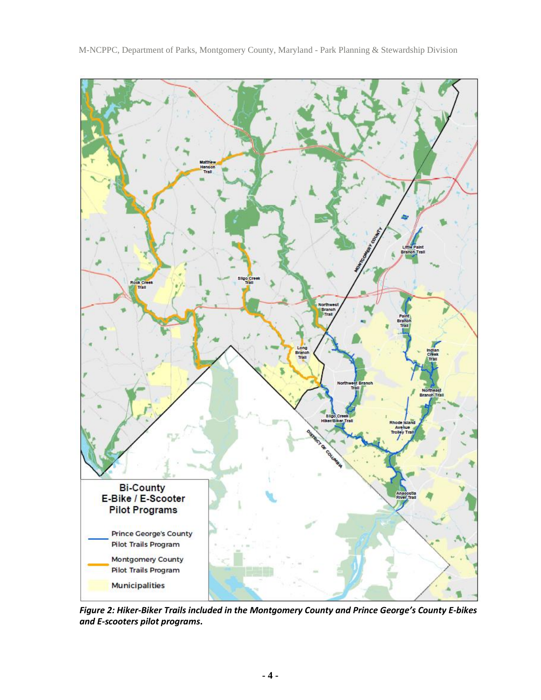

M-NCPPC, Department of Parks, Montgomery County, Maryland - Park Planning & Stewardship Division

*Figure 2: Hiker-Biker Trails included in the Montgomery County and Prince George's County E-bikes and E-scooters pilot programs***.**